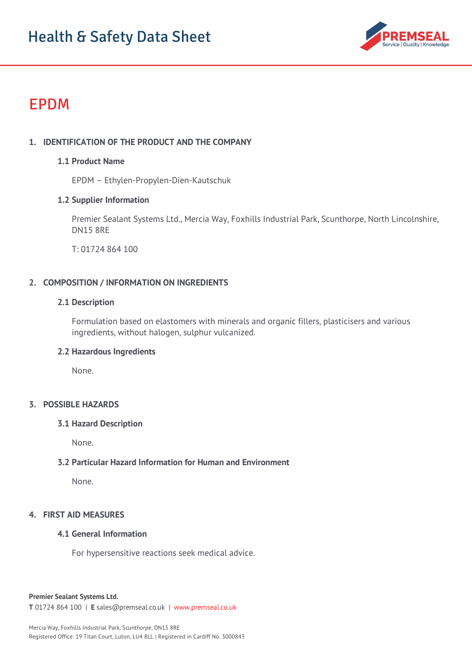

# EPDM

# **1. IDENTIFICATION OF THE PRODUCT AND THE COMPANY**

#### **1.1 Product Name**

EPDM – Ethylen-Propylen-Dien-Kautschuk

## **1.2 Supplier Information**

Premier Sealant Systems Ltd., Mercia Way, Foxhills Industrial Park, Scunthorpe, North Lincolnshire, DN15 8RE

T: 01724 864 100

## **2. COMPOSITION / INFORMATION ON INGREDIENTS**

#### **2.1 Description**

Formulation based on elastomers with minerals and organic fillers, plasticisers and various ingredients, without halogen, sulphur vulcanized.

#### **2.2 Hazardous Ingredients**

None.

## **3. POSSIBLE HAZARDS**

#### **3.1 Hazard Description**

None.

#### **3.2 Particular Hazard Information for Human and Environment**

None.

#### **4. FIRST AID MEASURES**

## **4.1 General Information**

For hypersensitive reactions seek medical advice.

#### **Premier Sealant Systems Ltd.**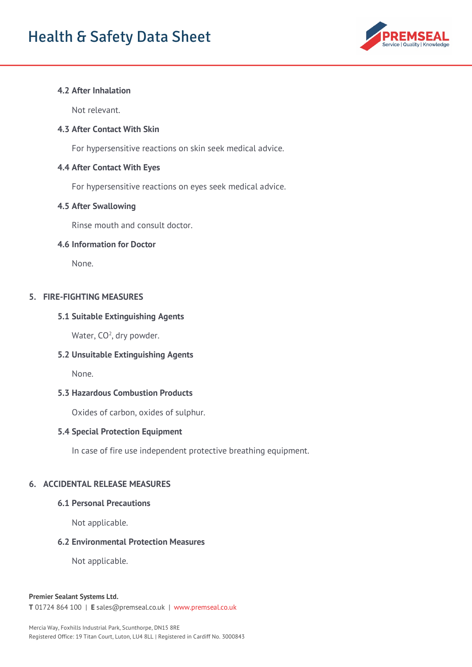

## **4.2 After Inhalation**

Not relevant.

#### **4.3 After Contact With Skin**

For hypersensitive reactions on skin seek medical advice.

#### **4.4 After Contact With Eyes**

For hypersensitive reactions on eyes seek medical advice.

#### **4.5 After Swallowing**

Rinse mouth and consult doctor.

#### **4.6 Information for Doctor**

None.

## **5. FIRE-FIGHTING MEASURES**

#### **5.1 Suitable Extinguishing Agents**

Water, CO<sup>2</sup>, dry powder.

#### **5.2 Unsuitable Extinguishing Agents**

None.

#### **5.3 Hazardous Combustion Products**

Oxides of carbon, oxides of sulphur.

#### **5.4 Special Protection Equipment**

In case of fire use independent protective breathing equipment.

## **6. ACCIDENTAL RELEASE MEASURES**

#### **6.1 Personal Precautions**

Not applicable.

#### **6.2 Environmental Protection Measures**

Not applicable.

#### **Premier Sealant Systems Ltd.**

**T** 01724 864 100 | **E** sales@premseal.co.uk | www.premseal.co.uk

Mercia Way, Foxhills Industrial Park, Scunthorpe, DN15 8RE Registered Office: 19 Titan Court, Luton, LU4 8LL | Registered in Cardiff No. 3000843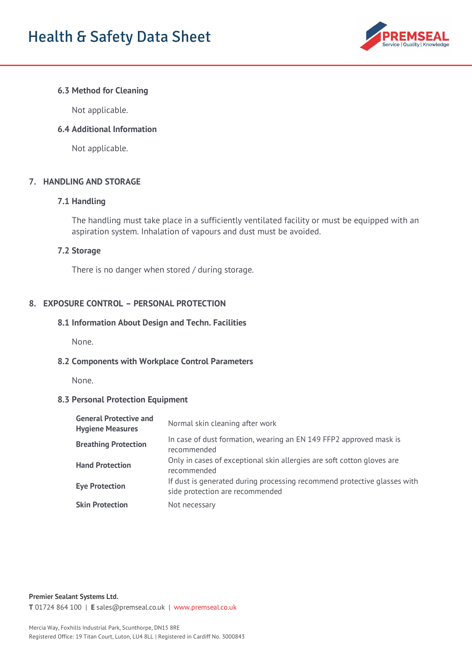

## **6.3 Method for Cleaning**

Not applicable.

#### **6.4 Additional Information**

Not applicable.

## **7. HANDLING AND STORAGE**

#### **7.1 Handling**

The handling must take place in a sufficiently ventilated facility or must be equipped with an aspiration system. Inhalation of vapours and dust must be avoided.

#### **7.2 Storage**

There is no danger when stored / during storage.

## **8. EXPOSURE CONTROL – PERSONAL PROTECTION**

#### **8.1 Information About Design and Techn. Facilities**

None.

#### **8.2 Components with Workplace Control Parameters**

None.

## **8.3 Personal Protection Equipment**

| <b>General Protective and</b><br><b>Hygiene Measures</b> | Normal skin cleaning after work                                                                             |
|----------------------------------------------------------|-------------------------------------------------------------------------------------------------------------|
| <b>Breathing Protection</b>                              | In case of dust formation, wearing an EN 149 FFP2 approved mask is<br>recommended                           |
| <b>Hand Protection</b>                                   | Only in cases of exceptional skin allergies are soft cotton gloves are<br>recommended                       |
| <b>Eye Protection</b>                                    | If dust is generated during processing recommend protective glasses with<br>side protection are recommended |
| <b>Skin Protection</b>                                   | Not necessary                                                                                               |

**Premier Sealant Systems Ltd.**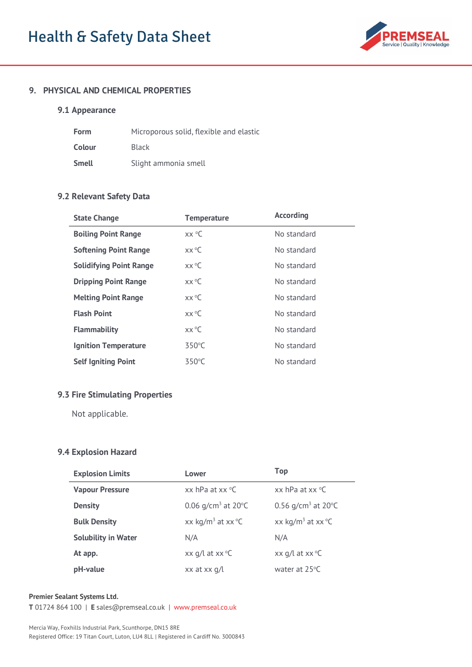

#### **9. PHYSICAL AND CHEMICAL PROPERTIES**

## **9.1 Appearance**

| Form   | Microporous solid, flexible and elastic |
|--------|-----------------------------------------|
| Colour | <b>Black</b>                            |
| Smell  | Slight ammonia smell                    |

## **9.2 Relevant Safety Data**

| <b>State Change</b>            | <b>Temperature</b>  | <b>According</b> |
|--------------------------------|---------------------|------------------|
| <b>Boiling Point Range</b>     | $XX$ <sup>o</sup> C | No standard      |
| <b>Softening Point Range</b>   | $XX^{\circ}C$       | No standard      |
| <b>Solidifying Point Range</b> | $XX^{\circ}C$       | No standard      |
| <b>Dripping Point Range</b>    | $XX^{\circ}C$       | No standard      |
| <b>Melting Point Range</b>     | $XX^{\circ}C$       | No standard      |
| <b>Flash Point</b>             | $XX^{\circ}C$       | No standard      |
| <b>Flammability</b>            | $XX^{\circ}C$       | No standard      |
| <b>Ignition Temperature</b>    | $350^{\circ}$ C     | No standard      |
| <b>Self Igniting Point</b>     | 350°C               | No standard      |

#### **9.3 Fire Stimulating Properties**

Not applicable.

## **9.4 Explosion Hazard**

| <b>Explosion Limits</b>    | Lower                                   | Top                                     |
|----------------------------|-----------------------------------------|-----------------------------------------|
| <b>Vapour Pressure</b>     | xx hPa at $xx$ °C                       | $xx$ hPa at $xx$ °C                     |
| <b>Density</b>             | 0.06 $q/cm^3$ at 20 $^{\circ}$ C        | 0.56 g/cm <sup>3</sup> at 20 °C         |
| <b>Bulk Density</b>        | xx kg/m <sup>3</sup> at xx $^{\circ}$ C | xx kg/m <sup>3</sup> at xx $\mathrm{C}$ |
| <b>Solubility in Water</b> | N/A                                     | N/A                                     |
| At app.                    | xx $q/l$ at xx ${}^{\circ}C$            | xx $q/l$ at xx ${}^{\circ}C$            |
| pH-value                   | xx at xx q/l                            | water at $25^{\circ}$ C                 |

#### **Premier Sealant Systems Ltd.**

**T** 01724 864 100 | **E** sales@premseal.co.uk | www.premseal.co.uk

Mercia Way, Foxhills Industrial Park, Scunthorpe, DN15 8RE Registered Office: 19 Titan Court, Luton, LU4 8LL | Registered in Cardiff No. 3000843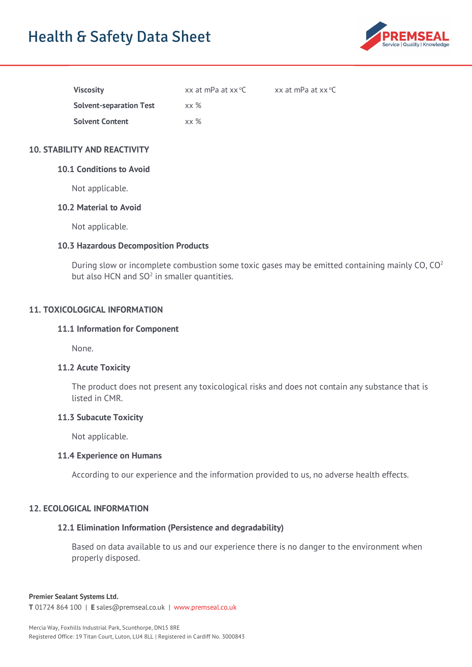# Health & Safety Data Sheet



| <b>Viscosity</b>               | xx at mPa at xx °C | xx at mPa at $xx$ °C |
|--------------------------------|--------------------|----------------------|
| <b>Solvent-separation Test</b> | $xx \%$            |                      |
| <b>Solvent Content</b>         | xx %               |                      |

## **10. STABILITY AND REACTIVITY**

## **10.1 Conditions to Avoid**

Not applicable.

#### **10.2 Material to Avoid**

Not applicable.

#### **10.3 Hazardous Decomposition Products**

During slow or incomplete combustion some toxic gases may be emitted containing mainly CO,  $CO<sup>2</sup>$ but also HCN and  $SO<sup>2</sup>$  in smaller quantities.

## **11. TOXICOLOGICAL INFORMATION**

#### **11.1 Information for Component**

None.

## **11.2 Acute Toxicity**

The product does not present any toxicological risks and does not contain any substance that is listed in CMR.

#### **11.3 Subacute Toxicity**

Not applicable.

#### **11.4 Experience on Humans**

According to our experience and the information provided to us, no adverse health effects.

## **12. ECOLOGICAL INFORMATION**

## **12.1 Elimination Information (Persistence and degradability)**

Based on data available to us and our experience there is no danger to the environment when properly disposed.

#### **Premier Sealant Systems Ltd.**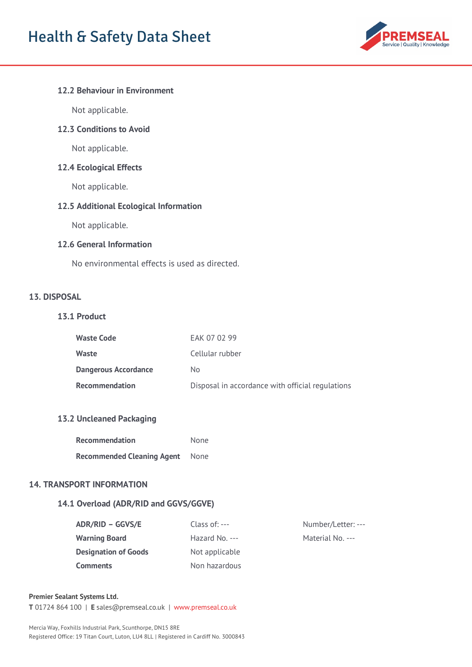

## **12.2 Behaviour in Environment**

Not applicable.

## **12.3 Conditions to Avoid**

Not applicable.

# **12.4 Ecological Effects**

Not applicable.

# **12.5 Additional Ecological Information**

Not applicable.

## **12.6 General Information**

No environmental effects is used as directed.

# **13. DISPOSAL**

## **13.1 Product**

| Waste Code                  | EAK 07 02 99                                     |
|-----------------------------|--------------------------------------------------|
| Waste                       | Cellular rubber                                  |
| <b>Dangerous Accordance</b> | No.                                              |
| <b>Recommendation</b>       | Disposal in accordance with official regulations |

## **13.2 Uncleaned Packaging**

| <b>Recommendation</b>             | None |
|-----------------------------------|------|
| <b>Recommended Cleaning Agent</b> | None |

## **14. TRANSPORT INFORMATION**

# **14.1 Overload (ADR/RID and GGVS/GGVE)**

| <b>ADR/RID - GGVS/E</b>     | Class of: $--$  | Number/Letter: --- |
|-----------------------------|-----------------|--------------------|
| <b>Warning Board</b>        | Hazard No. $--$ | Material No. ---   |
| <b>Designation of Goods</b> | Not applicable  |                    |
| <b>Comments</b>             | Non hazardous   |                    |

#### **Premier Sealant Systems Ltd.**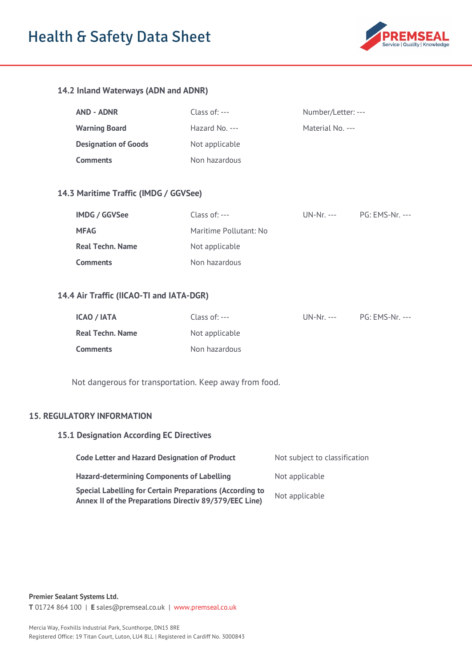# Health & Safety Data Sheet



# **14.2 Inland Waterways (ADN and ADNR)**

| AND - ADNR                  | Class of: $--$  | Number/Letter: --- |
|-----------------------------|-----------------|--------------------|
| <b>Warning Board</b>        | Hazard No. $--$ | Material No. ---   |
| <b>Designation of Goods</b> | Not applicable  |                    |
| <b>Comments</b>             | Non hazardous   |                    |

## **14.3 Maritime Traffic (IMDG / GGVSee)**

| <b>IMDG / GGVSee</b>    | Class of: $---$        | $UN-Nr. ---$ | PG: EMS-Nr. --- |
|-------------------------|------------------------|--------------|-----------------|
| <b>MFAG</b>             | Maritime Pollutant: No |              |                 |
| <b>Real Techn. Name</b> | Not applicable         |              |                 |
| <b>Comments</b>         | Non hazardous          |              |                 |

# **14.4 Air Traffic (IICAO-TI and IATA-DGR)**

| <b>ICAO / IATA</b> | Class of: $--$ | $UN-Nr. ---$ | PG: EMS-Nr. --- |
|--------------------|----------------|--------------|-----------------|
| Real Techn. Name   | Not applicable |              |                 |
| <b>Comments</b>    | Non hazardous  |              |                 |

Not dangerous for transportation. Keep away from food.

#### **15. REGULATORY INFORMATION**

#### **15.1 Designation According EC Directives**

| <b>Code Letter and Hazard Designation of Product</b>                                                                      | Not subject to classification |
|---------------------------------------------------------------------------------------------------------------------------|-------------------------------|
| <b>Hazard-determining Components of Labelling</b>                                                                         | Not applicable                |
| <b>Special Labelling for Certain Preparations (According to</b><br>Annex II of the Preparations Directiv 89/379/EEC Line) | Not applicable                |

**Premier Sealant Systems Ltd.**